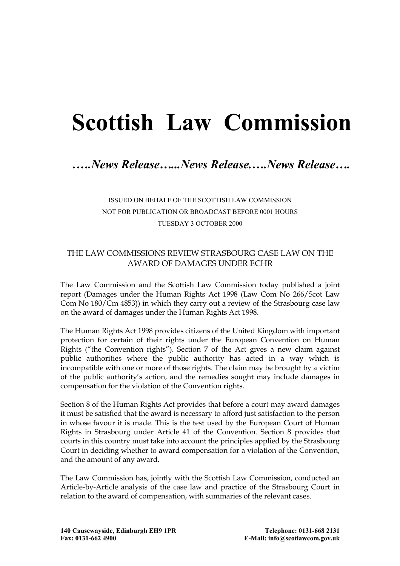# **Scottish Law Commission**

# *.….News Release…...News Release.….News Release….*

## ISSUED ON BEHALF OF THE SCOTTISH LAW COMMISSION NOT FOR PUBLICATION OR BROADCAST BEFORE 0001 HOURS TUESDAY 3 OCTOBER 2000

#### THE LAW COMMISSIONS REVIEW STRASBOURG CASE LAW ON THE AWARD OF DAMAGES UNDER ECHR

The Law Commission and the Scottish Law Commission today published a joint report (Damages under the Human Rights Act 1998 (Law Com No 266/Scot Law Com No 180/Cm 4853)) in which they carry out a review of the Strasbourg case law on the award of damages under the Human Rights Act 1998.

The Human Rights Act 1998 provides citizens of the United Kingdom with important protection for certain of their rights under the European Convention on Human Rights ("the Convention rights"). Section 7 of the Act gives a new claim against public authorities where the public authority has acted in a way which is incompatible with one or more of those rights. The claim may be brought by a victim of the public authority's action, and the remedies sought may include damages in compensation for the violation of the Convention rights.

Section 8 of the Human Rights Act provides that before a court may award damages it must be satisfied that the award is necessary to afford just satisfaction to the person in whose favour it is made. This is the test used by the European Court of Human Rights in Strasbourg under Article 41 of the Convention. Section 8 provides that courts in this country must take into account the principles applied by the Strasbourg Court in deciding whether to award compensation for a violation of the Convention, and the amount of any award.

The Law Commission has, jointly with the Scottish Law Commission, conducted an Article-by-Article analysis of the case law and practice of the Strasbourg Court in relation to the award of compensation, with summaries of the relevant cases.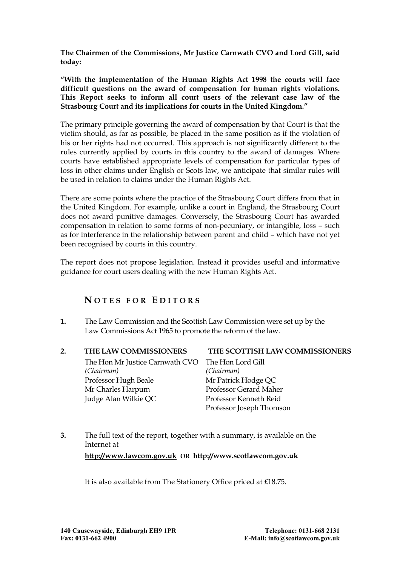**The Chairmen of the Commissions, Mr Justice Carnwath CVO and Lord Gill, said today:** 

**"With the implementation of the Human Rights Act 1998 the courts will face difficult questions on the award of compensation for human rights violations. This Report seeks to inform all court users of the relevant case law of the Strasbourg Court and its implications for courts in the United Kingdom."** 

The primary principle governing the award of compensation by that Court is that the victim should, as far as possible, be placed in the same position as if the violation of his or her rights had not occurred. This approach is not significantly different to the rules currently applied by courts in this country to the award of damages. Where courts have established appropriate levels of compensation for particular types of loss in other claims under English or Scots law, we anticipate that similar rules will be used in relation to claims under the Human Rights Act.

There are some points where the practice of the Strasbourg Court differs from that in the United Kingdom. For example, unlike a court in England, the Strasbourg Court does not award punitive damages. Conversely, the Strasbourg Court has awarded compensation in relation to some forms of non-pecuniary, or intangible, loss – such as for interference in the relationship between parent and child – which have not yet been recognised by courts in this country.

The report does not propose legislation. Instead it provides useful and informative guidance for court users dealing with the new Human Rights Act.

### **N O T ES FO R E D I T O RS**

- **1.** The Law Commission and the Scottish Law Commission were set up by the Law Commissions Act 1965 to promote the reform of the law.
	- The Hon Mr Justice Carnwath CVO The Hon Lord Gill *(Chairman) (Chairman)* Professor Hugh Beale Mr Patrick Hodge OC Mr Charles Harpum Professor Gerard Maher Judge Alan Wilkie QC Professor Kenneth Reid

#### **2. THE LAW COMMISSIONERS THE SCOTTISH LAW COMMISSIONERS**

- Professor Joseph Thomson
- **3.** The full text of the report, together with a summary, is available on the Internet at **http://www.lawcom.gov.uk OR http://www.scotlawcom.gov.uk**

It is also available from The Stationery Office priced at £18.75.